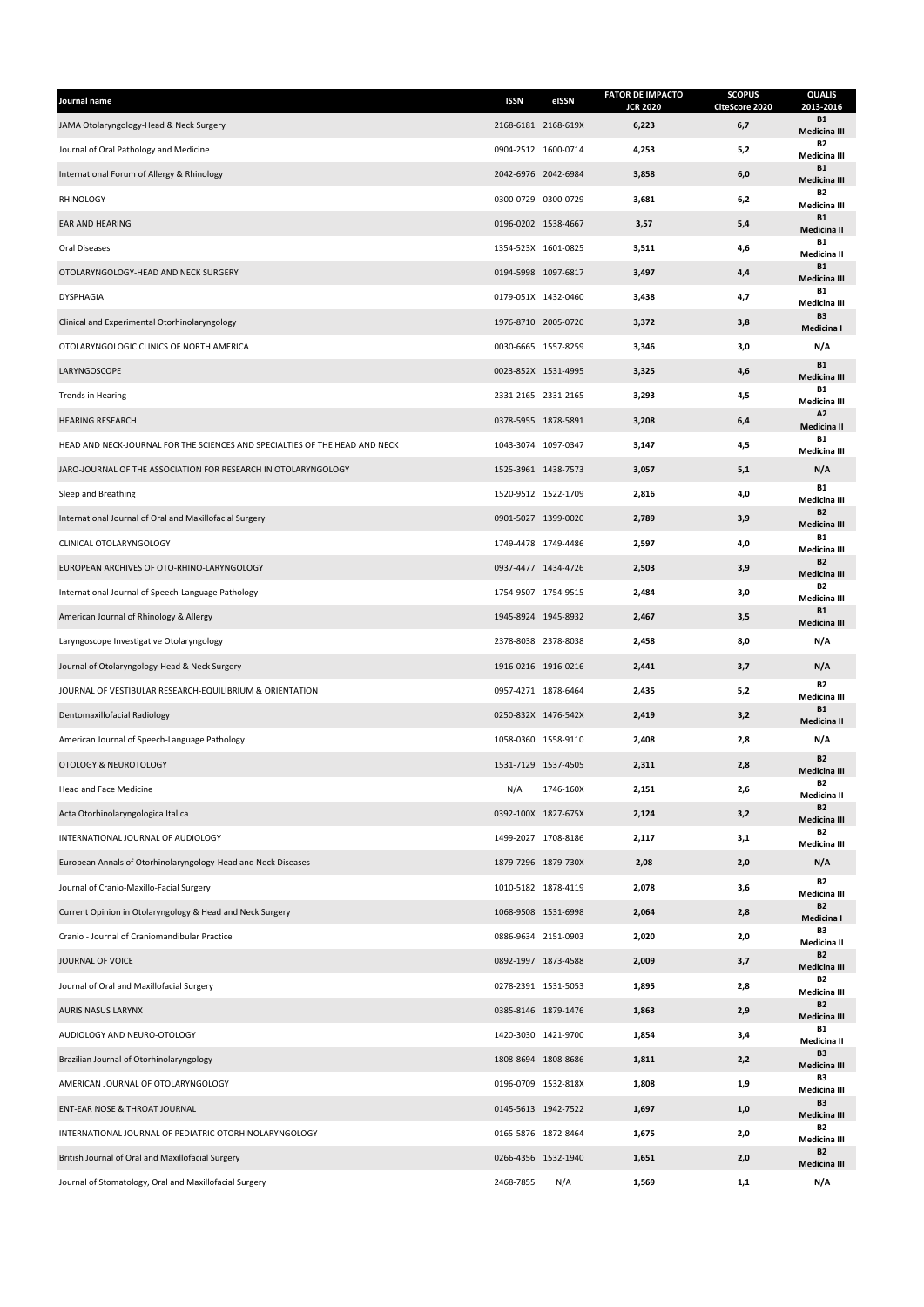| Journal name                                                                | <b>ISSN</b>         | eISSN               | <b>FATOR DE IMPACTO</b><br><b>JCR 2020</b> | <b>SCOPUS</b><br>CiteScore 2020 | <b>QUALIS</b><br>2013-2016       |
|-----------------------------------------------------------------------------|---------------------|---------------------|--------------------------------------------|---------------------------------|----------------------------------|
| JAMA Otolaryngology-Head & Neck Surgery                                     |                     | 2168-6181 2168-619X | 6,223                                      | 6,7                             | <b>B1</b><br><b>Medicina III</b> |
| Journal of Oral Pathology and Medicine                                      | 0904-2512 1600-0714 |                     | 4,253                                      | 5,2                             | <b>B2</b><br>Medicina III        |
| International Forum of Allergy & Rhinology                                  | 2042-6976 2042-6984 |                     | 3,858                                      | 6,0                             | <b>B1</b><br><b>Medicina III</b> |
| RHINOLOGY                                                                   | 0300-0729 0300-0729 |                     | 3,681                                      | 6,2                             | <b>B2</b><br>Medicina III        |
| EAR AND HEARING                                                             | 0196-0202 1538-4667 |                     | 3,57                                       | 5,4                             | <b>B1</b><br>Medicina II         |
| Oral Diseases                                                               | 1354-523X 1601-0825 |                     | 3,511                                      | 4,6                             | <b>B1</b><br>Medicina II         |
| OTOLARYNGOLOGY-HEAD AND NECK SURGERY                                        | 0194-5998 1097-6817 |                     | 3,497                                      | 4,4                             | <b>B1</b><br>Medicina III        |
| <b>DYSPHAGIA</b>                                                            |                     | 0179-051X 1432-0460 | 3,438                                      | 4,7                             | <b>B1</b><br>Medicina III        |
| Clinical and Experimental Otorhinolaryngology                               | 1976-8710 2005-0720 |                     | 3,372                                      | 3,8                             | B <sub>3</sub><br>Medicina I     |
| OTOLARYNGOLOGIC CLINICS OF NORTH AMERICA                                    | 0030-6665 1557-8259 |                     | 3,346                                      | 3,0                             | N/A                              |
| LARYNGOSCOPE                                                                | 0023-852X 1531-4995 |                     | 3,325                                      | 4,6                             | <b>B1</b><br><b>Medicina III</b> |
| <b>Trends in Hearing</b>                                                    | 2331-2165 2331-2165 |                     | 3,293                                      | 4,5                             | <b>B1</b><br>Medicina III        |
| <b>HEARING RESEARCH</b>                                                     | 0378-5955 1878-5891 |                     | 3,208                                      | 6,4                             | A2<br>Medicina II                |
| HEAD AND NECK-JOURNAL FOR THE SCIENCES AND SPECIALTIES OF THE HEAD AND NECK | 1043-3074 1097-0347 |                     | 3,147                                      | 4,5                             | <b>B1</b><br>Medicina III        |
| JARO-JOURNAL OF THE ASSOCIATION FOR RESEARCH IN OTOLARYNGOLOGY              | 1525-3961 1438-7573 |                     | 3,057                                      | 5,1                             | N/A                              |
| Sleep and Breathing                                                         | 1520-9512 1522-1709 |                     | 2,816                                      | 4,0                             | <b>B1</b><br>Medicina III        |
| International Journal of Oral and Maxillofacial Surgery                     | 0901-5027 1399-0020 |                     | 2,789                                      | 3,9                             | <b>B2</b><br><b>Medicina III</b> |
| CLINICAL OTOLARYNGOLOGY                                                     |                     | 1749-4478 1749-4486 | 2,597                                      | 4,0                             | <b>B1</b><br><b>Medicina III</b> |
| EUROPEAN ARCHIVES OF OTO-RHINO-LARYNGOLOGY                                  | 0937-4477 1434-4726 |                     | 2,503                                      | 3,9                             | <b>B2</b><br>Medicina III        |
| International Journal of Speech-Language Pathology                          | 1754-9507 1754-9515 |                     | 2,484                                      | 3,0                             | <b>B2</b><br>Medicina III        |
| American Journal of Rhinology & Allergy                                     | 1945-8924 1945-8932 |                     | 2,467                                      | 3,5                             | <b>B1</b><br><b>Medicina III</b> |
| Laryngoscope Investigative Otolaryngology                                   |                     | 2378-8038 2378-8038 | 2,458                                      | 8,0                             | N/A                              |
| Journal of Otolaryngology-Head & Neck Surgery                               |                     | 1916-0216 1916-0216 | 2,441                                      | 3,7                             | N/A                              |
| JOURNAL OF VESTIBULAR RESEARCH-EQUILIBRIUM & ORIENTATION                    | 0957-4271 1878-6464 |                     | 2,435                                      | 5,2                             | <b>B2</b><br>Medicina III        |
| Dentomaxillofacial Radiology                                                |                     | 0250-832X 1476-542X | 2,419                                      | 3,2                             | <b>B1</b><br>Medicina II         |
| American Journal of Speech-Language Pathology                               | 1058-0360 1558-9110 |                     | 2,408                                      | 2,8                             | N/A                              |
| OTOLOGY & NEUROTOLOGY                                                       | 1531-7129 1537-4505 |                     | 2,311                                      | 2,8                             | <b>B2</b><br><b>Medicina III</b> |
| Head and Face Medicine                                                      | N/A                 | 1746-160X           | 2,151                                      | 2,6                             | R <sub>2</sub><br>Medicina II    |
| Acta Otorhinolaryngologica Italica                                          |                     | 0392-100X 1827-675X | 2,124                                      | 3,2                             | <b>B2</b><br>Medicina III        |
| INTERNATIONAL JOURNAL OF AUDIOLOGY                                          |                     | 1499-2027 1708-8186 | 2,117                                      | 3,1                             | <b>B2</b><br>Medicina III        |
| European Annals of Otorhinolaryngology-Head and Neck Diseases               |                     | 1879-7296 1879-730X | 2,08                                       | 2,0                             | N/A                              |
| Journal of Cranio-Maxillo-Facial Surgery                                    |                     | 1010-5182 1878-4119 | 2,078                                      | 3,6                             | <b>B2</b><br>Medicina III        |
| Current Opinion in Otolaryngology & Head and Neck Surgery                   | 1068-9508 1531-6998 |                     | 2,064                                      | 2,8                             | <b>B2</b><br>Medicina I          |
| Cranio - Journal of Craniomandibular Practice                               |                     | 0886-9634 2151-0903 | 2,020                                      | 2,0                             | B3<br>Medicina II                |
| JOURNAL OF VOICE                                                            | 0892-1997 1873-4588 |                     | 2,009                                      | 3,7                             | <b>B2</b><br>Medicina III        |
| Journal of Oral and Maxillofacial Surgery                                   |                     | 0278-2391 1531-5053 | 1,895                                      | 2,8                             | <b>B2</b><br>Medicina III        |
| AURIS NASUS LARYNX                                                          |                     | 0385-8146 1879-1476 | 1,863                                      | 2,9                             | <b>B2</b><br>Medicina III        |
| AUDIOLOGY AND NEURO-OTOLOGY                                                 | 1420-3030 1421-9700 |                     | 1,854                                      | 3,4                             | <b>B1</b><br>Medicina II         |
| Brazilian Journal of Otorhinolaryngology                                    |                     | 1808-8694 1808-8686 | 1,811                                      | 2,2                             | B3<br>Medicina III               |
| AMERICAN JOURNAL OF OTOLARYNGOLOGY                                          |                     | 0196-0709 1532-818X | 1,808                                      | 1,9                             | B3<br>Medicina III               |
| ENT-EAR NOSE & THROAT JOURNAL                                               |                     | 0145-5613 1942-7522 | 1,697                                      | 1,0                             | B3<br><b>Medicina III</b>        |
| INTERNATIONAL JOURNAL OF PEDIATRIC OTORHINOLARYNGOLOGY                      | 0165-5876 1872-8464 |                     | 1,675                                      | 2,0                             | <b>B2</b><br>Medicina III        |
| British Journal of Oral and Maxillofacial Surgery                           |                     | 0266-4356 1532-1940 | 1,651                                      | 2,0                             | <b>B2</b><br>Medicina III        |
| Journal of Stomatology, Oral and Maxillofacial Surgery                      | 2468-7855           | N/A                 | 1,569                                      | 1,1                             | N/A                              |